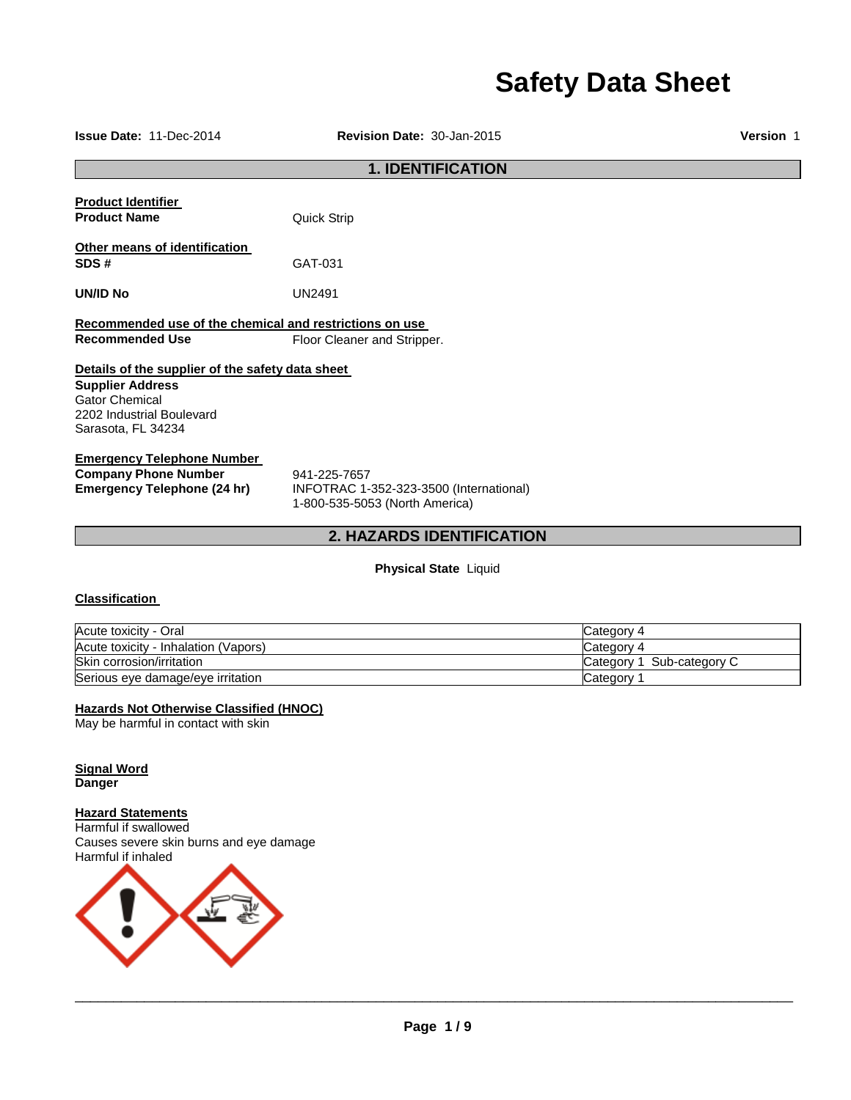# **Safety Data Sheet**

**Issue Date:** 11-Dec-2014 **Revision Date:** 30-Jan-2015 **Version** 1

# **1. IDENTIFICATION**

**Product Identifier Product Name Quick Strip** 

**Other means of identification SDS #** GAT-031

**UN/ID No** UN2491

**Recommended use of the chemical and restrictions on use Recommended Use Floor Cleaner and Stripper.** 

# **Details of the supplier of the safety data sheet**

**Supplier Address** Gator Chemical 2202 Industrial Boulevard Sarasota, FL 34234

#### **Emergency Telephone Number**

**Company Phone Number** 941-225-7657<br> **Emergency Telephone (24 hr)** INFOTRAC 1-

**Emergency Telephone (24 hr)** INFOTRAC 1-352-323-3500 (International) 1-800-535-5053 (North America)

# **2. HAZARDS IDENTIFICATION**

**Physical State** Liquid

# **Classification**

| Acute toxicity - Oral                | Category 4                |
|--------------------------------------|---------------------------|
| Acute toxicity - Inhalation (Vapors) | Category 4                |
| Skin corrosion/irritation            | Category 1 Sub-category C |
| Serious eye damage/eye irritation    | Category                  |

### **Hazards Not Otherwise Classified (HNOC)**

May be harmful in contact with skin

**Signal Word Danger** 

**Hazard Statements**

Harmful if swallowed Causes severe skin burns and eye damage Harmful if inhaled

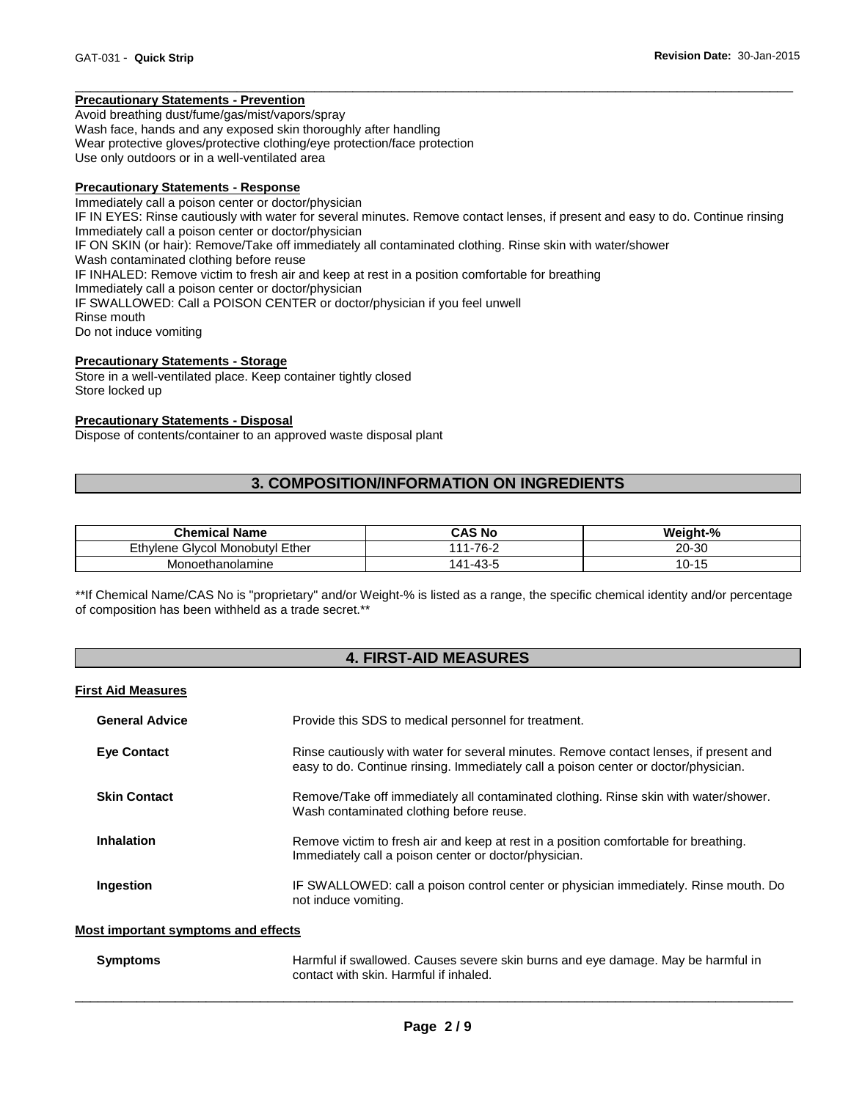#### **Precautionary Statements - Prevention**

Avoid breathing dust/fume/gas/mist/vapors/spray Wash face, hands and any exposed skin thoroughly after handling Wear protective gloves/protective clothing/eye protection/face protection Use only outdoors or in a well-ventilated area

#### **Precautionary Statements - Response**

Immediately call a poison center or doctor/physician IF IN EYES: Rinse cautiously with water for several minutes. Remove contact lenses, if present and easy to do. Continue rinsing Immediately call a poison center or doctor/physician IF ON SKIN (or hair): Remove/Take off immediately all contaminated clothing. Rinse skin with water/shower Wash contaminated clothing before reuse IF INHALED: Remove victim to fresh air and keep at rest in a position comfortable for breathing Immediately call a poison center or doctor/physician IF SWALLOWED: Call a POISON CENTER or doctor/physician if you feel unwell Rinse mouth Do not induce vomiting

\_\_\_\_\_\_\_\_\_\_\_\_\_\_\_\_\_\_\_\_\_\_\_\_\_\_\_\_\_\_\_\_\_\_\_\_\_\_\_\_\_\_\_\_\_\_\_\_\_\_\_\_\_\_\_\_\_\_\_\_\_\_\_\_\_\_\_\_\_\_\_\_\_\_\_\_\_\_\_\_\_\_\_\_\_\_\_\_\_\_\_\_\_

#### **Precautionary Statements - Storage**

Store in a well-ventilated place. Keep container tightly closed Store locked up

#### **Precautionary Statements - Disposal**

Dispose of contents/container to an approved waste disposal plant

# **3. COMPOSITION/INFORMATION ON INGREDIENTS**

| <b>Chemical Name</b>                    | CAS No        | Weight-%      |
|-----------------------------------------|---------------|---------------|
| Ethvlene<br>I Monobutvl Ether<br>Givcol | $111 - 76 -$  | 20-30         |
| Monoethanolamine                        | l-43-5<br>.11 | . U-1<br>ں וי |

\*\*If Chemical Name/CAS No is "proprietary" and/or Weight-% is listed as a range, the specific chemical identity and/or percentage of composition has been withheld as a trade secret.\*\*

### **4. FIRST-AID MEASURES**

#### **First Aid Measures**

| <b>General Advice</b> | Provide this SDS to medical personnel for treatment.                                                                                                                          |  |  |
|-----------------------|-------------------------------------------------------------------------------------------------------------------------------------------------------------------------------|--|--|
| <b>Eye Contact</b>    | Rinse cautiously with water for several minutes. Remove contact lenses, if present and<br>easy to do. Continue rinsing. Immediately call a poison center or doctor/physician. |  |  |
| <b>Skin Contact</b>   | Remove/Take off immediately all contaminated clothing. Rinse skin with water/shower.<br>Wash contaminated clothing before reuse.                                              |  |  |
| Inhalation            | Remove victim to fresh air and keep at rest in a position comfortable for breathing.<br>Immediately call a poison center or doctor/physician.                                 |  |  |
| Ingestion             | IF SWALLOWED: call a poison control center or physician immediately. Rinse mouth. Do<br>not induce vomiting.                                                                  |  |  |

#### **Most important symptoms and effects**

| <b>Symptoms</b> | Harmful if swallowed. Causes severe skin burns and eye damage. May be harmful in |
|-----------------|----------------------------------------------------------------------------------|
|                 | contact with skin. Harmful if inhaled.                                           |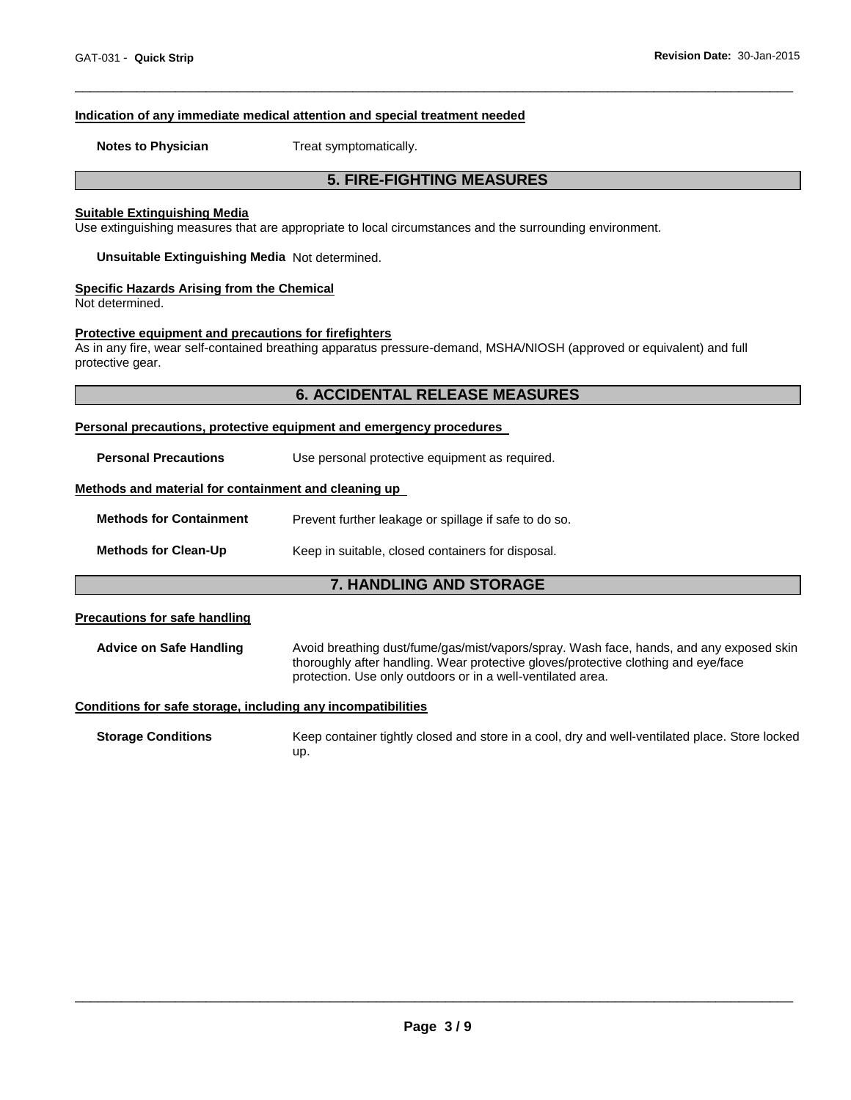#### **Indication of any immediate medical attention and special treatment needed**

**Notes to Physician**  Treat symptomatically.

#### **5. FIRE-FIGHTING MEASURES**

\_\_\_\_\_\_\_\_\_\_\_\_\_\_\_\_\_\_\_\_\_\_\_\_\_\_\_\_\_\_\_\_\_\_\_\_\_\_\_\_\_\_\_\_\_\_\_\_\_\_\_\_\_\_\_\_\_\_\_\_\_\_\_\_\_\_\_\_\_\_\_\_\_\_\_\_\_\_\_\_\_\_\_\_\_\_\_\_\_\_\_\_\_

#### **Suitable Extinguishing Media**

Use extinguishing measures that are appropriate to local circumstances and the surrounding environment.

**Unsuitable Extinguishing Media** Not determined.

#### **Specific Hazards Arising from the Chemical**

Not determined.

#### **Protective equipment and precautions for firefighters**

As in any fire, wear self-contained breathing apparatus pressure-demand, MSHA/NIOSH (approved or equivalent) and full protective gear.

#### **6. ACCIDENTAL RELEASE MEASURES**

#### **Personal precautions, protective equipment and emergency procedures**

**Personal Precautions Use personal protective equipment as required.** 

#### **Methods and material for containment and cleaning up**

| <b>Methods for Containment</b> | Prevent further leakage or spillage if safe to do so. |  |
|--------------------------------|-------------------------------------------------------|--|
| <b>Methods for Clean-Up</b>    | Keep in suitable, closed containers for disposal.     |  |

#### **7. HANDLING AND STORAGE**

#### **Precautions for safe handling**

**Advice on Safe Handling** Avoid breathing dust/fume/gas/mist/vapors/spray. Wash face, hands, and any exposed skin thoroughly after handling. Wear protective gloves/protective clothing and eye/face protection. Use only outdoors or in a well-ventilated area.

#### **Conditions for safe storage, including any incompatibilities**

**Storage Conditions** Keep container tightly closed and store in a cool, dry and well-ventilated place. Store locked up.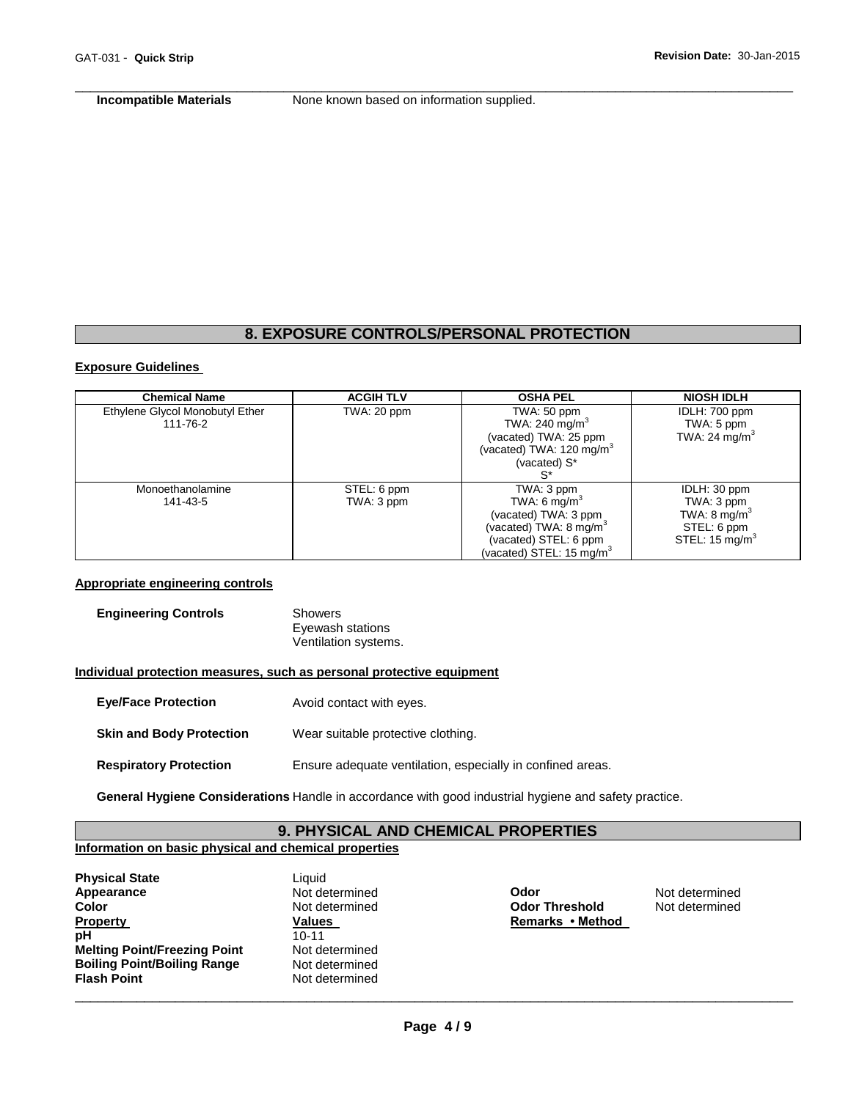**Incompatible Materials None known based on information supplied.** 

\_\_\_\_\_\_\_\_\_\_\_\_\_\_\_\_\_\_\_\_\_\_\_\_\_\_\_\_\_\_\_\_\_\_\_\_\_\_\_\_\_\_\_\_\_\_\_\_\_\_\_\_\_\_\_\_\_\_\_\_\_\_\_\_\_\_\_\_\_\_\_\_\_\_\_\_\_\_\_\_\_\_\_\_\_\_\_\_\_\_\_\_\_

#### **8. EXPOSURE CONTROLS/PERSONAL PROTECTION**

#### **Exposure Guidelines**

| <b>Chemical Name</b>            | <b>ACGIH TLV</b> | <b>OSHA PEL</b>                      | <b>NIOSH IDLH</b>         |
|---------------------------------|------------------|--------------------------------------|---------------------------|
| Ethylene Glycol Monobutyl Ether | TWA: 20 ppm      | TWA: 50 ppm                          | IDLH: 700 ppm             |
| 111-76-2                        |                  | TWA: 240 mg/m $3$                    | TWA: 5 ppm                |
|                                 |                  | (vacated) TWA: 25 ppm                | TWA: 24 mg/m <sup>3</sup> |
|                                 |                  | (vacated) TWA: 120 mg/m <sup>3</sup> |                           |
|                                 |                  | (vacated) S*                         |                           |
|                                 |                  |                                      |                           |
| Monoethanolamine                | STEL: 6 ppm      | TWA: 3 ppm                           | IDLH: 30 ppm              |
| 141-43-5                        | TWA: 3 ppm       | TWA: 6 $mq/m3$                       | TWA: 3 ppm                |
|                                 |                  | (vacated) TWA: 3 ppm                 | TWA: $8 \text{ mg/m}^3$   |
|                                 |                  | (vacated) TWA: $8 \text{ mg/m}^3$    | STEL: 6 ppm               |
|                                 |                  | (vacated) STEL: 6 ppm                | STEL: $15 \text{ mg/m}^3$ |
|                                 |                  | (vacated) STEL: 15 mg/m ${}^{3}$     |                           |

#### **Appropriate engineering controls**

| <b>Engineering Controls</b> | Showers              |
|-----------------------------|----------------------|
|                             | Eyewash stations     |
|                             | Ventilation systems. |

#### **Individual protection measures, such as personal protective equipment**

- **Eye/Face Protection** Avoid contact with eyes.
- **Skin and Body Protection** Wear suitable protective clothing.
- **Respiratory Protection** Ensure adequate ventilation, especially in confined areas.

**General Hygiene Considerations** Handle in accordance with good industrial hygiene and safety practice.

# **9. PHYSICAL AND CHEMICAL PROPERTIES**

# **Information on basic physical and chemical properties**

| <b>Physical State</b>               | Liquid         |
|-------------------------------------|----------------|
| Appearance                          | Not determined |
| Color                               | Not determined |
| <b>Property</b>                     | Values         |
| pH                                  | $10 - 11$      |
| <b>Melting Point/Freezing Point</b> | Not determined |
| <b>Boiling Point/Boiling Range</b>  | Not determined |
| <b>Flash Point</b>                  | Not determined |
|                                     |                |

**Appearance** Not determined **Odor** Not determined **Color Threshold Color Threshold Remarks • Method**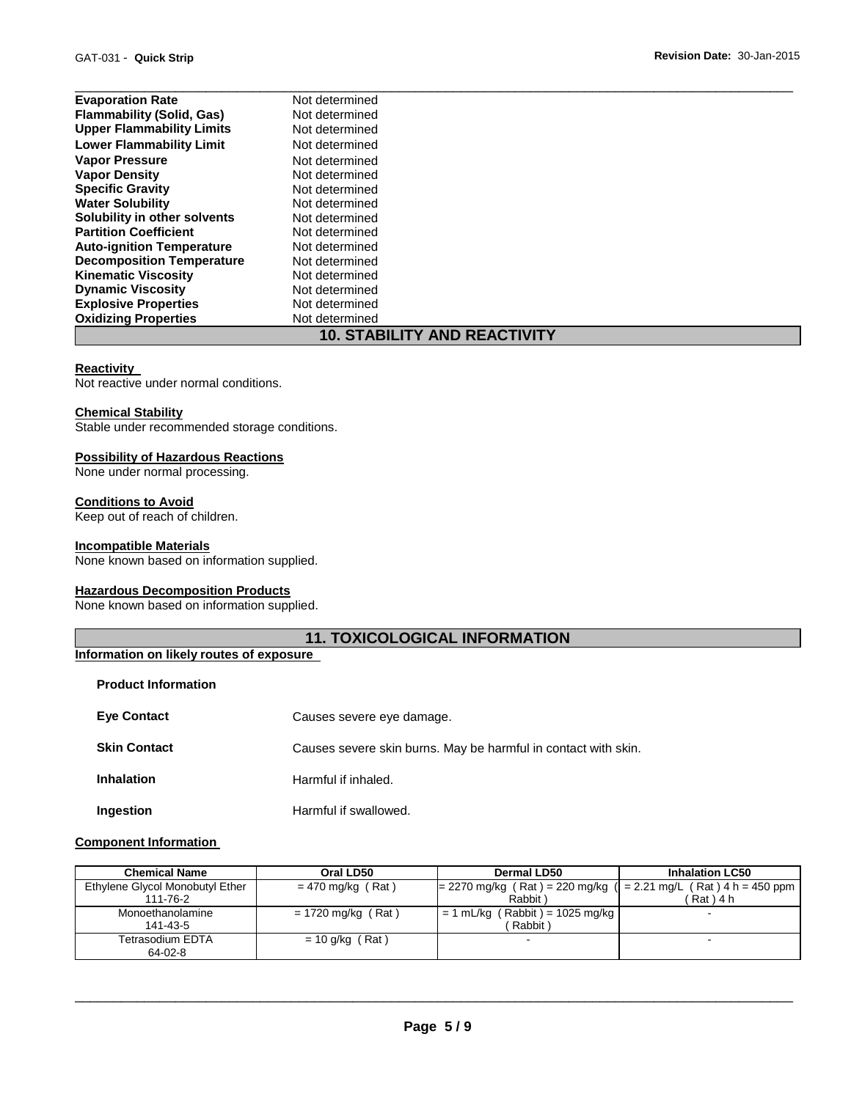| <b>Evaporation Rate</b>             | Not determined |  |
|-------------------------------------|----------------|--|
| <b>Flammability (Solid, Gas)</b>    | Not determined |  |
| <b>Upper Flammability Limits</b>    | Not determined |  |
| <b>Lower Flammability Limit</b>     | Not determined |  |
| <b>Vapor Pressure</b>               | Not determined |  |
| <b>Vapor Density</b>                | Not determined |  |
| <b>Specific Gravity</b>             | Not determined |  |
| <b>Water Solubility</b>             | Not determined |  |
| Solubility in other solvents        | Not determined |  |
| <b>Partition Coefficient</b>        | Not determined |  |
| <b>Auto-ignition Temperature</b>    | Not determined |  |
| <b>Decomposition Temperature</b>    | Not determined |  |
| <b>Kinematic Viscosity</b>          | Not determined |  |
| <b>Dynamic Viscosity</b>            | Not determined |  |
| <b>Explosive Properties</b>         | Not determined |  |
| <b>Oxidizing Properties</b>         | Not determined |  |
| <b>10. STABILITY AND REACTIVITY</b> |                |  |

#### **Reactivity**

Not reactive under normal conditions.

#### **Chemical Stability**

Stable under recommended storage conditions.

#### **Possibility of Hazardous Reactions**

None under normal processing.

# **Conditions to Avoid**

Keep out of reach of children.

#### **Incompatible Materials**

None known based on information supplied.

#### **Hazardous Decomposition Products**

None known based on information supplied.

# **11. TOXICOLOGICAL INFORMATION**

#### **Information on likely routes of exposure**

| <b>Product Information</b> |                                                                |
|----------------------------|----------------------------------------------------------------|
| <b>Eye Contact</b>         | Causes severe eye damage.                                      |
| <b>Skin Contact</b>        | Causes severe skin burns. May be harmful in contact with skin. |
| <b>Inhalation</b>          | Harmful if inhaled.                                            |
| Ingestion                  | Harmful if swallowed.                                          |

#### **Component Information**

| <b>Chemical Name</b>            | Oral LD50            | Dermal LD50                                                          |             |
|---------------------------------|----------------------|----------------------------------------------------------------------|-------------|
| Ethylene Glycol Monobutyl Ether | $= 470$ mg/kg (Rat)  | $= 2270$ mg/kg (Rat) = 220 mg/kg ( $= 2.21$ mg/L (Rat) 4 h = 450 ppm |             |
| 111-76-2                        |                      | Rabbit                                                               | ´ Rat ) 4 h |
| Monoethanolamine                | $= 1720$ mg/kg (Rat) | $= 1$ mL/kg (Rabbit) = 1025 mg/kg                                    |             |
| 141-43-5                        |                      | Rabbit)                                                              |             |
| Tetrasodium EDTA                | $= 10$ g/kg (Rat)    | -                                                                    |             |
| $64-02-8$                       |                      |                                                                      |             |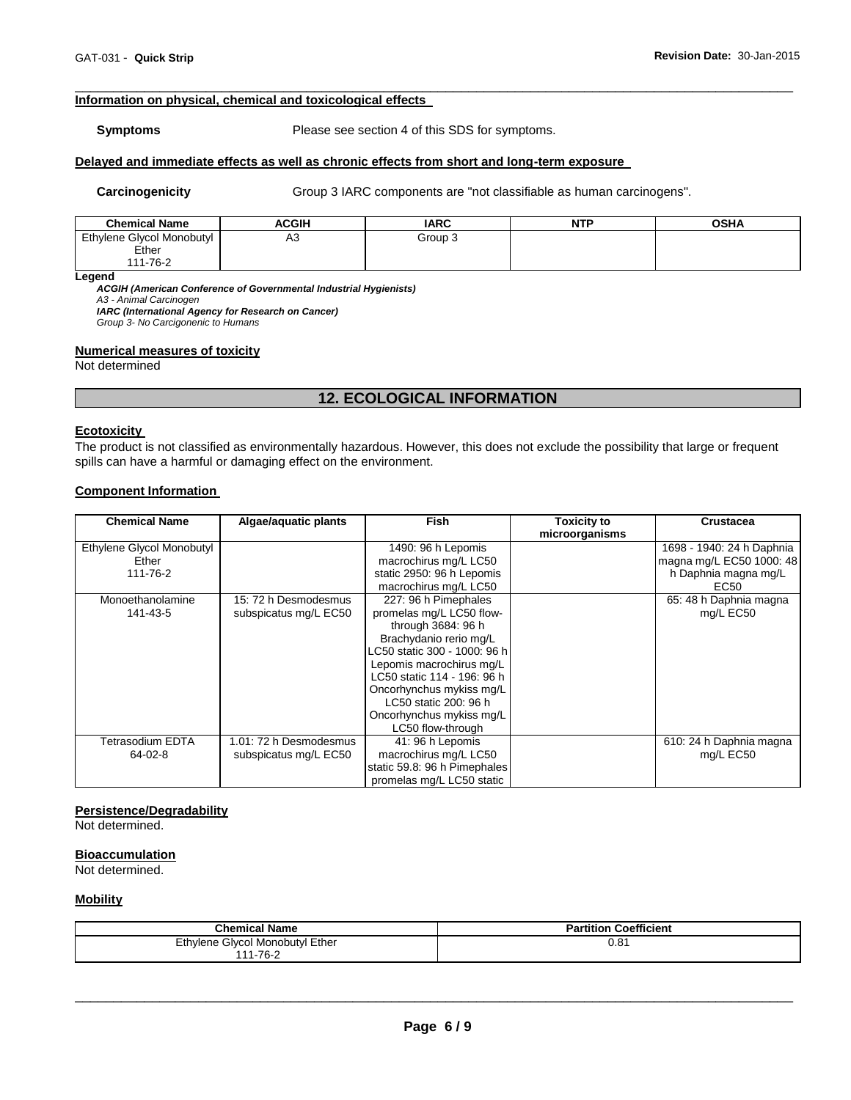#### **Information on physical, chemical and toxicological effects**

**Symptoms** Please see section 4 of this SDS for symptoms.

\_\_\_\_\_\_\_\_\_\_\_\_\_\_\_\_\_\_\_\_\_\_\_\_\_\_\_\_\_\_\_\_\_\_\_\_\_\_\_\_\_\_\_\_\_\_\_\_\_\_\_\_\_\_\_\_\_\_\_\_\_\_\_\_\_\_\_\_\_\_\_\_\_\_\_\_\_\_\_\_\_\_\_\_\_\_\_\_\_\_\_\_\_

# **Delayed and immediate effects as well as chronic effects from short and long-term exposure**

Carcinogenicity **Group 3 IARC** components are "not classifiable as human carcinogens".

| <b>Chemical Name</b>      | ACGIH | <b>IARC</b> | <b>NTP</b> | <b>OSHA</b> |
|---------------------------|-------|-------------|------------|-------------|
| Ethylene Glycol Monobutyl | A3    | Group 3     |            |             |
| Ether                     |       |             |            |             |
| 111-76-2                  |       |             |            |             |

**Legend** 

*ACGIH (American Conference of Governmental Industrial Hygienists) A3 - Animal Carcinogen* 

*IARC (International Agency for Research on Cancer)*

*Group 3- No Carcigonenic to Humans* 

#### **Numerical measures of toxicity**

Not determined

# **12. ECOLOGICAL INFORMATION**

#### **Ecotoxicity**

The product is not classified as environmentally hazardous. However, this does not exclude the possibility that large or frequent spills can have a harmful or damaging effect on the environment.

#### **Component Information**

| <b>Chemical Name</b>                           | Algae/aquatic plants                            | <b>Fish</b>                                                                                                                                                                                                                                                                                       | <b>Toxicity to</b><br>microorganisms | <b>Crustacea</b>                                                                      |
|------------------------------------------------|-------------------------------------------------|---------------------------------------------------------------------------------------------------------------------------------------------------------------------------------------------------------------------------------------------------------------------------------------------------|--------------------------------------|---------------------------------------------------------------------------------------|
| Ethylene Glycol Monobutyl<br>Ether<br>111-76-2 |                                                 | 1490: 96 h Lepomis<br>macrochirus mg/L LC50<br>static 2950: 96 h Lepomis<br>macrochirus mg/L LC50                                                                                                                                                                                                 |                                      | 1698 - 1940: 24 h Daphnia<br>magna mg/L EC50 1000: 48<br>h Daphnia magna mg/L<br>EC50 |
| Monoethanolamine<br>141-43-5                   | 15: 72 h Desmodesmus<br>subspicatus mg/L EC50   | 227: 96 h Pimephales<br>promelas mg/L LC50 flow-<br>through 3684: 96 h<br>Brachydanio rerio mg/L<br>LC50 static 300 - 1000: 96 h<br>Lepomis macrochirus mg/L<br>LC50 static 114 - 196: 96 h<br>Oncorhynchus mykiss mg/L<br>LC50 static 200: 96 h<br>Oncorhynchus mykiss mg/L<br>LC50 flow-through |                                      | 65: 48 h Daphnia magna<br>mg/L EC50                                                   |
| Tetrasodium EDTA<br>64-02-8                    | 1.01: 72 h Desmodesmus<br>subspicatus mg/L EC50 | 41: 96 h Lepomis<br>macrochirus mg/L LC50<br>static 59.8: 96 h Pimephales<br>promelas mg/L LC50 static                                                                                                                                                                                            |                                      | 610: 24 h Daphnia magna<br>mg/L EC50                                                  |

#### **Persistence/Degradability**

Not determined.

#### **Bioaccumulation**

Not determined.

#### **Mobility**

| <b>Chemical Name</b>                    | <b>Partition Coefficient</b> |
|-----------------------------------------|------------------------------|
| ∣ Ether<br>Ethylene<br>Glycol Monobutyl | 0.81                         |
| 111-76-2                                |                              |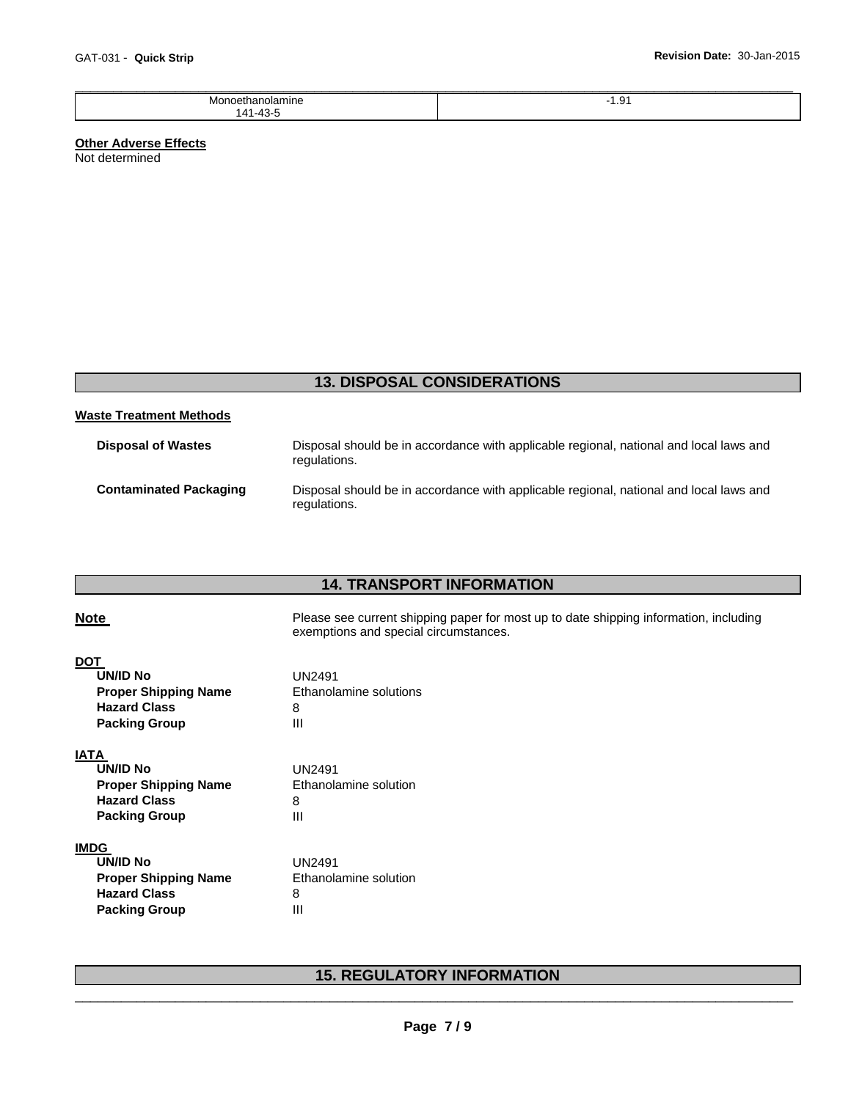| Monoetl<br>IVI.<br>มamıne<br>etr | -<br>ن. ا |
|----------------------------------|-----------|
| 141.43                           |           |

# **Other Adverse Effects**

Not determined

# **13. DISPOSAL CONSIDERATIONS**

#### **Waste Treatment Methods**

| <b>Disposal of Wastes</b>     | Disposal should be in accordance with applicable regional, national and local laws and<br>regulations. |
|-------------------------------|--------------------------------------------------------------------------------------------------------|
| <b>Contaminated Packaging</b> | Disposal should be in accordance with applicable regional, national and local laws and<br>regulations. |

# **14. TRANSPORT INFORMATION**

| <b>Note</b>                                                                                                  | Please see current shipping paper for most up to date shipping information, including<br>exemptions and special circumstances. |
|--------------------------------------------------------------------------------------------------------------|--------------------------------------------------------------------------------------------------------------------------------|
| <b>DOT</b><br><b>UN/ID No</b><br><b>Proper Shipping Name</b><br><b>Hazard Class</b><br><b>Packing Group</b>  | <b>UN2491</b><br>Ethanolamine solutions<br>8<br>Ш                                                                              |
| <b>IATA</b><br><b>UN/ID No</b><br><b>Proper Shipping Name</b><br><b>Hazard Class</b><br><b>Packing Group</b> | <b>UN2491</b><br>Ethanolamine solution<br>8<br>Ш                                                                               |
| <b>IMDG</b><br><b>UN/ID No</b><br><b>Proper Shipping Name</b><br><b>Hazard Class</b><br><b>Packing Group</b> | <b>UN2491</b><br>Ethanolamine solution<br>8<br>Ш                                                                               |

# \_\_\_\_\_\_\_\_\_\_\_\_\_\_\_\_\_\_\_\_\_\_\_\_\_\_\_\_\_\_\_\_\_\_\_\_\_\_\_\_\_\_\_\_\_\_\_\_\_\_\_\_\_\_\_\_\_\_\_\_\_\_\_\_\_\_\_\_\_\_\_\_\_\_\_\_\_\_\_\_\_\_\_\_\_\_\_\_\_\_\_\_\_ **15. REGULATORY INFORMATION**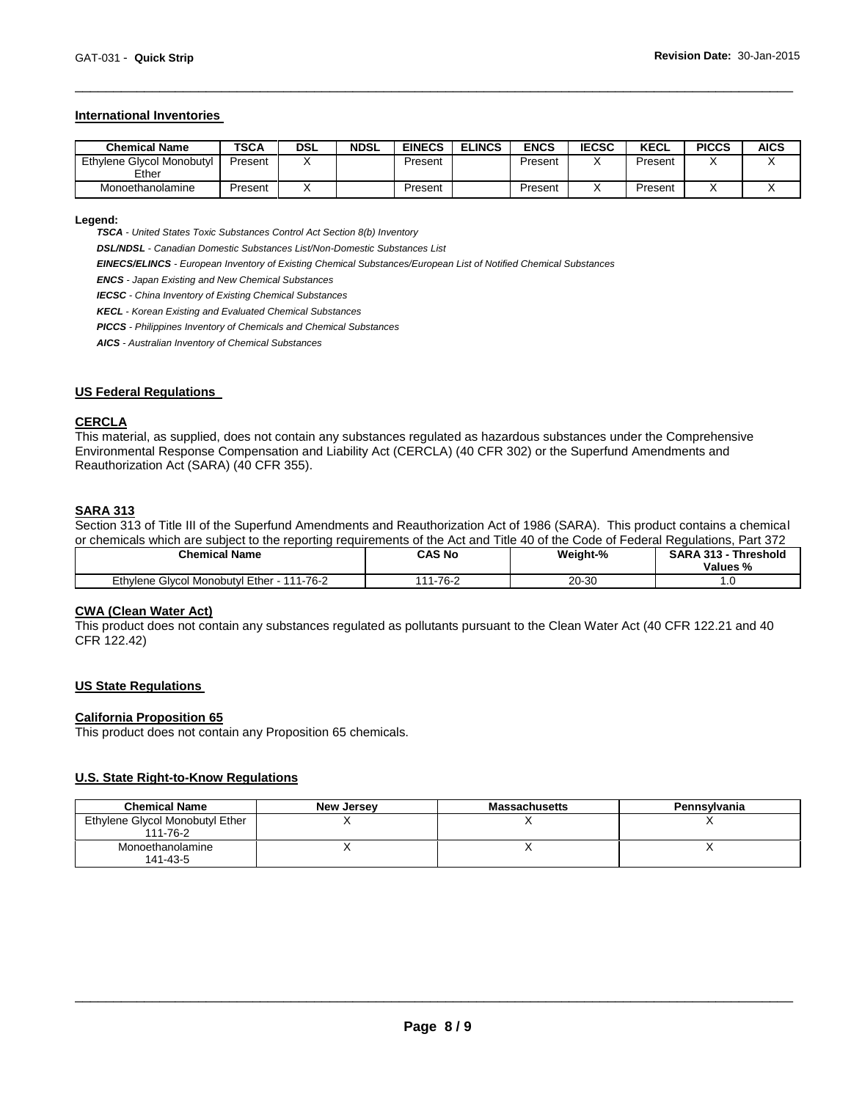#### **International Inventories**

| <b>Chemical Name</b>               | TSCA    | <b>DSL</b> | <b>NDSL</b> | <b>EINECS</b> | <b>ELINCS</b> | <b>ENCS</b> | <b>IECSC</b> | <b>KECL</b> | <b>PICCS</b> | <b>AICS</b> |
|------------------------------------|---------|------------|-------------|---------------|---------------|-------------|--------------|-------------|--------------|-------------|
| Ethylene Glycol Monobutyl<br>Ether | Present |            |             | Present       |               | Present     |              | Present     |              |             |
| Monoethanolamine                   | Present |            |             | Present       |               | Present     |              | Present     |              |             |

\_\_\_\_\_\_\_\_\_\_\_\_\_\_\_\_\_\_\_\_\_\_\_\_\_\_\_\_\_\_\_\_\_\_\_\_\_\_\_\_\_\_\_\_\_\_\_\_\_\_\_\_\_\_\_\_\_\_\_\_\_\_\_\_\_\_\_\_\_\_\_\_\_\_\_\_\_\_\_\_\_\_\_\_\_\_\_\_\_\_\_\_\_

#### **Legend:**

*TSCA - United States Toxic Substances Control Act Section 8(b) Inventory* 

*DSL/NDSL - Canadian Domestic Substances List/Non-Domestic Substances List* 

*EINECS/ELINCS - European Inventory of Existing Chemical Substances/European List of Notified Chemical Substances* 

*ENCS - Japan Existing and New Chemical Substances* 

*IECSC - China Inventory of Existing Chemical Substances* 

*KECL - Korean Existing and Evaluated Chemical Substances* 

*PICCS - Philippines Inventory of Chemicals and Chemical Substances* 

*AICS - Australian Inventory of Chemical Substances* 

#### **US Federal Regulations**

#### **CERCLA**

This material, as supplied, does not contain any substances regulated as hazardous substances under the Comprehensive Environmental Response Compensation and Liability Act (CERCLA) (40 CFR 302) or the Superfund Amendments and Reauthorization Act (SARA) (40 CFR 355).

#### **SARA 313**

Section 313 of Title III of the Superfund Amendments and Reauthorization Act of 1986 (SARA). This product contains a chemical or chemicals which are subject to the reporting requirements of the Act and Title 40 of the Code of Federal Regulations, Part 372

| <b>Chemical Name</b>                                                    | <b>CAS No</b> | Weight-%  | <b>Threshold</b><br>.242<br><br>: A L<br>Values % |
|-------------------------------------------------------------------------|---------------|-----------|---------------------------------------------------|
| Ether<br>Ethvlene<br>$1 - 76 - 2$<br>$\overline{A}$<br>Glycol Monobutyl | 1-76-2        | $20 - 30$ | . . v                                             |

#### **CWA (Clean Water Act)**

This product does not contain any substances regulated as pollutants pursuant to the Clean Water Act (40 CFR 122.21 and 40 CFR 122.42)

#### **US State Regulations**

#### **California Proposition 65**

This product does not contain any Proposition 65 chemicals.

# **U.S. State Right-to-Know Regulations**

| <b>Chemical Name</b>                        | <b>New Jersey</b> | <b>Massachusetts</b> | Pennsylvania |
|---------------------------------------------|-------------------|----------------------|--------------|
| Ethylene Glycol Monobutyl Ether<br>111-76-2 |                   |                      |              |
| Monoethanolamine<br>141-43-5                |                   |                      |              |